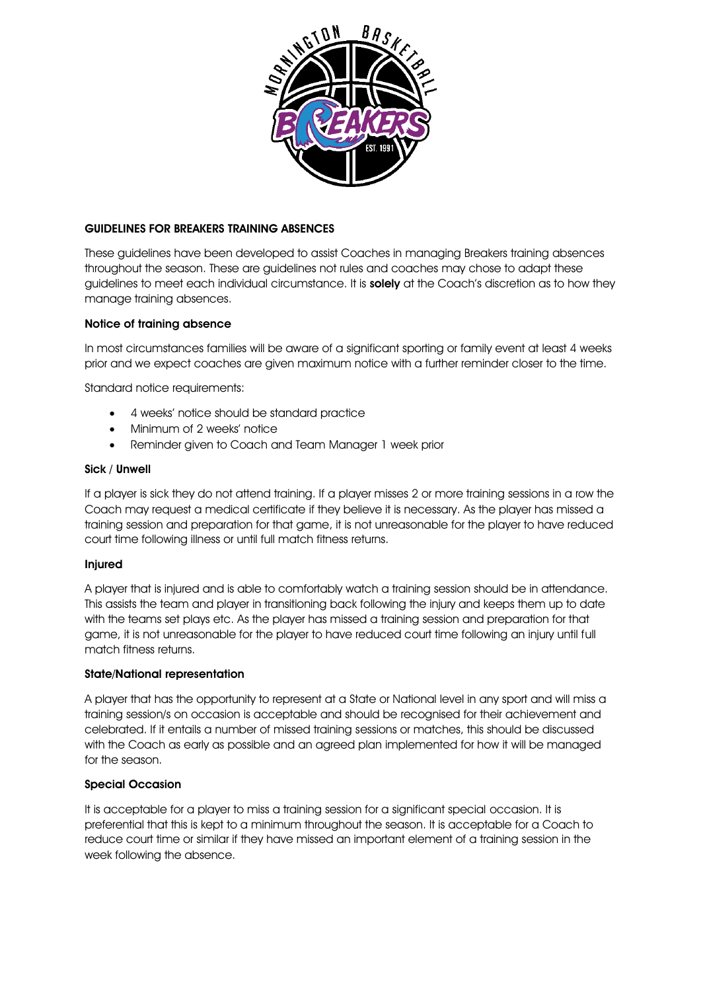

### GUIDELINES FOR BREAKERS TRAINING ABSENCES

These guidelines have been developed to assist Coaches in managing Breakers training absences throughout the season. These are guidelines not rules and coaches may chose to adapt these guidelines to meet each individual circumstance. It is solely at the Coach's discretion as to how they manage training absences.

# Notice of training absence

In most circumstances families will be aware of a significant sporting or family event at least 4 weeks prior and we expect coaches are given maximum notice with a further reminder closer to the time.

Standard notice requirements:

- 4 weeks' notice should be standard practice
- Minimum of 2 weeks' notice
- Reminder given to Coach and Team Manager 1 week prior

#### Sick / Unwell

If a player is sick they do not attend training. If a player misses 2 or more training sessions in a row the Coach may request a medical certificate if they believe it is necessary. As the player has missed a training session and preparation for that game, it is not unreasonable for the player to have reduced court time following illness or until full match fitness returns.

### Injured

A player that is injured and is able to comfortably watch a training session should be in attendance. This assists the team and player in transitioning back following the injury and keeps them up to date with the teams set plays etc. As the player has missed a training session and preparation for that game, it is not unreasonable for the player to have reduced court time following an injury until full match fitness returns.

### State/National representation

A player that has the opportunity to represent at a State or National level in any sport and will miss a training session/s on occasion is acceptable and should be recognised for their achievement and celebrated. If it entails a number of missed training sessions or matches, this should be discussed with the Coach as early as possible and an agreed plan implemented for how it will be managed for the season.

### Special Occasion

It is acceptable for a player to miss a training session for a significant special occasion. It is preferential that this is kept to a minimum throughout the season. It is acceptable for a Coach to reduce court time or similar if they have missed an important element of a training session in the week following the absence.